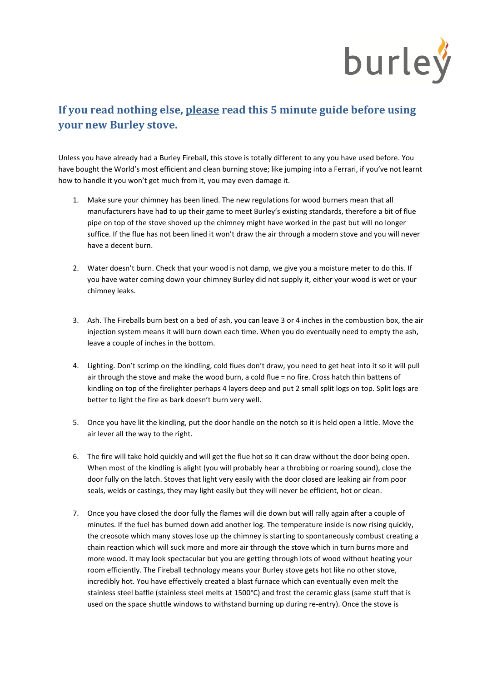

## **If you read nothing else, please read this 5 minute guide before using your new Burley stove.**

Unless you have already had a Burley Fireball, this stove is totally different to any you have used before. You have bought the World's most efficient and clean burning stove; like jumping into a Ferrari, if you've not learnt how to handle it you won't get much from it, you may even damage it.

- 1. Make sure your chimney has been lined. The new regulations for wood burners mean that all manufacturers have had to up their game to meet Burley's existing standards, therefore a bit of flue pipe on top of the stove shoved up the chimney might have worked in the past but will no longer suffice. If the flue has not been lined it won't draw the air through a modern stove and you will never have a decent burn.
- 2. Water doesn't burn. Check that your wood is not damp, we give you a moisture meter to do this. If you have water coming down your chimney Burley did not supply it, either your wood is wet or your chimney leaks.
- 3. Ash. The Fireballs burn best on a bed of ash, you can leave 3 or 4 inches in the combustion box, the air injection system means it will burn down each time. When you do eventually need to empty the ash, leave a couple of inches in the bottom.
- 4. Lighting. Don't scrimp on the kindling, cold flues don't draw, you need to get heat into it so it will pull air through the stove and make the wood burn, a cold flue = no fire. Cross hatch thin battens of kindling on top of the firelighter perhaps 4 layers deep and put 2 small split logs on top. Split logs are better to light the fire as bark doesn't burn very well.
- 5. Once you have lit the kindling, put the door handle on the notch so it is held open a little. Move the air lever all the way to the right.
- 6. The fire will take hold quickly and will get the flue hot so it can draw without the door being open. When most of the kindling is alight (you will probably hear a throbbing or roaring sound), close the door fully on the latch. Stoves that light very easily with the door closed are leaking air from poor seals, welds or castings, they may light easily but they will never be efficient, hot or clean.
- 7. Once you have closed the door fully the flames will die down but will rally again after a couple of minutes. If the fuel has burned down add another log. The temperature inside is now rising quickly, the creosote which many stoves lose up the chimney is starting to spontaneously combust creating a chain reaction which will suck more and more air through the stove which in turn burns more and more wood. It may look spectacular but you are getting through lots of wood without heating your room efficiently. The Fireball technology means your Burley stove gets hot like no other stove, incredibly hot. You have effectively created a blast furnace which can eventually even melt the stainless steel baffle (stainless steel melts at 1500°C) and frost the ceramic glass (same stuff that is used on the space shuttle windows to withstand burning up during re-entry). Once the stove is